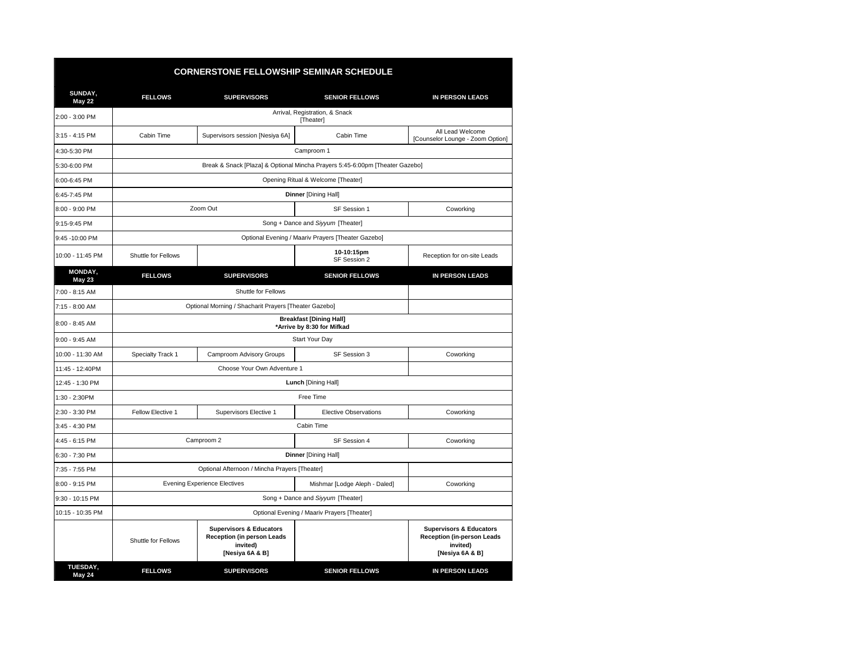| <b>CORNERSTONE FELLOWSHIP SEMINAR SCHEDULE</b> |                                                                              |                                                                                                        |                               |                                                                                                        |  |  |
|------------------------------------------------|------------------------------------------------------------------------------|--------------------------------------------------------------------------------------------------------|-------------------------------|--------------------------------------------------------------------------------------------------------|--|--|
| SUNDAY,<br><b>May 22</b>                       | <b>FELLOWS</b>                                                               | <b>SUPERVISORS</b>                                                                                     | <b>SENIOR FELLOWS</b>         | <b>IN PERSON LEADS</b>                                                                                 |  |  |
| 2:00 - 3:00 PM                                 | Arrival, Registration, & Snack<br>[Theater]                                  |                                                                                                        |                               |                                                                                                        |  |  |
| 3:15 - 4:15 PM                                 | Cabin Time                                                                   | Supervisors session [Nesiya 6A]                                                                        | Cabin Time                    | All Lead Welcome<br>[Counselor Lounge - Zoom Option]                                                   |  |  |
| 4:30-5:30 PM                                   | Camproom 1                                                                   |                                                                                                        |                               |                                                                                                        |  |  |
| 5:30-6:00 PM                                   | Break & Snack [Plaza] & Optional Mincha Prayers 5:45-6:00pm [Theater Gazebo] |                                                                                                        |                               |                                                                                                        |  |  |
| 6:00-6:45 PM                                   | Opening Ritual & Welcome [Theater]                                           |                                                                                                        |                               |                                                                                                        |  |  |
| 6:45-7:45 PM                                   |                                                                              | <b>Dinner [Dining Hall]</b>                                                                            |                               |                                                                                                        |  |  |
| 8:00 - 9:00 PM                                 | Zoom Out                                                                     |                                                                                                        | SF Session 1                  | Coworking                                                                                              |  |  |
| 9:15-9:45 PM                                   | Song + Dance and Siyyum [Theater]                                            |                                                                                                        |                               |                                                                                                        |  |  |
| 9:45 -10:00 PM                                 | Optional Evening / Maariv Prayers [Theater Gazebo]                           |                                                                                                        |                               |                                                                                                        |  |  |
| 10:00 - 11:45 PM                               | Shuttle for Fellows                                                          |                                                                                                        | 10-10:15pm<br>SF Session 2    | Reception for on-site Leads                                                                            |  |  |
| MONDAY,<br><b>May 23</b>                       | <b>FELLOWS</b>                                                               | <b>SUPERVISORS</b>                                                                                     | <b>SENIOR FELLOWS</b>         | <b>IN PERSON LEADS</b>                                                                                 |  |  |
| 7:00 - 8:15 AM                                 | Shuttle for Fellows                                                          |                                                                                                        |                               |                                                                                                        |  |  |
| 7:15 - 8:00 AM                                 |                                                                              | Optional Morning / Shacharit Prayers [Theater Gazebo]                                                  |                               |                                                                                                        |  |  |
| 8:00 - 8:45 AM                                 | <b>Breakfast [Dining Hall]</b><br>*Arrive by 8:30 for Mifkad                 |                                                                                                        |                               |                                                                                                        |  |  |
| $9:00 - 9:45$ AM                               | Start Your Day                                                               |                                                                                                        |                               |                                                                                                        |  |  |
| 10:00 - 11:30 AM                               | Specialty Track 1                                                            | Camproom Advisory Groups                                                                               | SF Session 3                  | Coworking                                                                                              |  |  |
| 11:45 - 12:40PM                                | Choose Your Own Adventure 1                                                  |                                                                                                        |                               |                                                                                                        |  |  |
| 12:45 - 1:30 PM                                | Lunch [Dining Hall]                                                          |                                                                                                        |                               |                                                                                                        |  |  |
| 1:30 - 2:30PM                                  | Free Time                                                                    |                                                                                                        |                               |                                                                                                        |  |  |
| 2:30 - 3:30 PM                                 | Fellow Elective 1                                                            | Supervisors Elective 1                                                                                 | <b>Elective Observations</b>  | Coworking                                                                                              |  |  |
| 3:45 - 4:30 PM                                 | Cabin Time                                                                   |                                                                                                        |                               |                                                                                                        |  |  |
| 4:45 - 6:15 PM                                 |                                                                              | Camproom 2                                                                                             | SF Session 4                  | Coworking                                                                                              |  |  |
| 6:30 - 7:30 PM                                 | <b>Dinner [Dining Hall]</b>                                                  |                                                                                                        |                               |                                                                                                        |  |  |
| 7:35 - 7:55 PM                                 | Optional Afternoon / Mincha Prayers [Theater]                                |                                                                                                        |                               |                                                                                                        |  |  |
| 8:00 - 9:15 PM                                 | <b>Evening Experience Electives</b>                                          |                                                                                                        | Mishmar [Lodge Aleph - Daled] | Coworking                                                                                              |  |  |
| 9:30 - 10:15 PM                                | Song + Dance and Siyyum [Theater]                                            |                                                                                                        |                               |                                                                                                        |  |  |
| 10:15 - 10:35 PM                               | Optional Evening / Maariv Prayers [Theater]                                  |                                                                                                        |                               |                                                                                                        |  |  |
|                                                | Shuttle for Fellows                                                          | <b>Supervisors &amp; Educators</b><br><b>Reception (in person Leads</b><br>invited)<br>[Nesiya 6A & B] |                               | <b>Supervisors &amp; Educators</b><br><b>Reception (in-person Leads</b><br>invited)<br>[Nesiya 6A & B] |  |  |
| <b>TUESDAY,</b><br><b>May 24</b>               | <b>FELLOWS</b>                                                               | <b>SUPERVISORS</b>                                                                                     | <b>SENIOR FELLOWS</b>         | <b>IN PERSON LEADS</b>                                                                                 |  |  |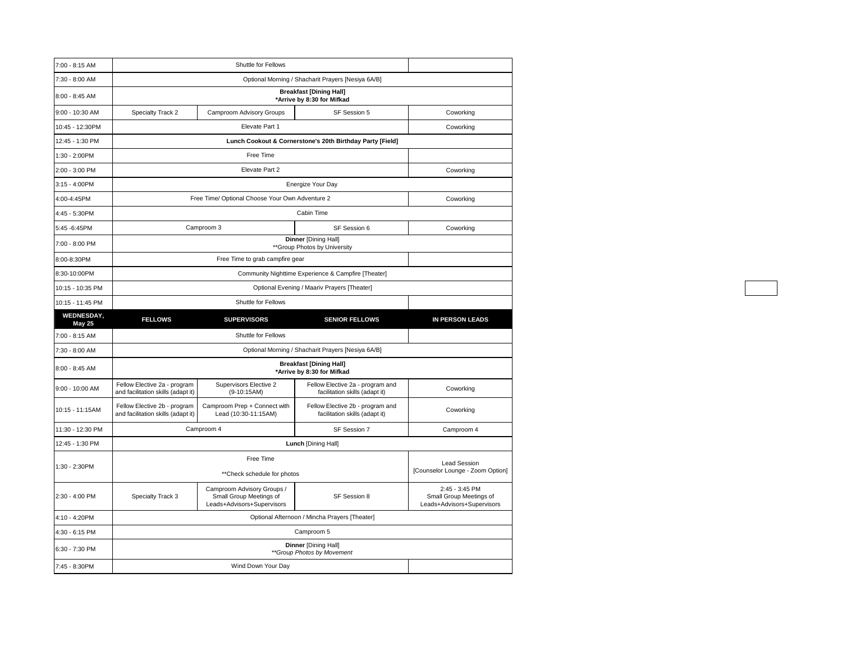| 7:00 - 8:15 AM                     | Shuttle for Fellows                                                |                                                                                     |                                                                    |                                                                         |  |  |  |  |
|------------------------------------|--------------------------------------------------------------------|-------------------------------------------------------------------------------------|--------------------------------------------------------------------|-------------------------------------------------------------------------|--|--|--|--|
| 7:30 - 8:00 AM                     |                                                                    | Optional Morning / Shacharit Prayers [Nesiya 6A/B]                                  |                                                                    |                                                                         |  |  |  |  |
| 8:00 - 8:45 AM                     | <b>Breakfast [Dining Hall]</b><br>*Arrive by 8:30 for Mifkad       |                                                                                     |                                                                    |                                                                         |  |  |  |  |
| 9:00 - 10:30 AM                    | Specialty Track 2                                                  | Camproom Advisory Groups                                                            | SF Session 5                                                       | Coworking                                                               |  |  |  |  |
| 10:45 - 12:30PM                    |                                                                    |                                                                                     | Coworking                                                          |                                                                         |  |  |  |  |
| 12:45 - 1:30 PM                    |                                                                    | Lunch Cookout & Cornerstone's 20th Birthday Party [Field]                           |                                                                    |                                                                         |  |  |  |  |
| 1:30 - 2:00PM                      | Free Time                                                          |                                                                                     |                                                                    |                                                                         |  |  |  |  |
| 2:00 - 3:00 PM                     | Elevate Part 2<br>Coworking                                        |                                                                                     |                                                                    |                                                                         |  |  |  |  |
| 3:15 - 4:00PM                      |                                                                    |                                                                                     | Energize Your Day                                                  |                                                                         |  |  |  |  |
| 4:00-4:45PM                        | Free Time/ Optional Choose Your Own Adventure 2<br>Coworking       |                                                                                     |                                                                    |                                                                         |  |  |  |  |
| 4:45 - 5:30PM                      | Cabin Time                                                         |                                                                                     |                                                                    |                                                                         |  |  |  |  |
| 5:45 - 6:45 PM                     | Camproom 3<br>SF Session 6<br>Coworking                            |                                                                                     |                                                                    |                                                                         |  |  |  |  |
| 7:00 - 8:00 PM                     | <b>Dinner [Dining Hall]</b><br>** Group Photos by University       |                                                                                     |                                                                    |                                                                         |  |  |  |  |
| 8:00-8:30PM                        | Free Time to grab campfire gear                                    |                                                                                     |                                                                    |                                                                         |  |  |  |  |
| 8:30-10:00PM                       | Community Nighttime Experience & Campfire [Theater]                |                                                                                     |                                                                    |                                                                         |  |  |  |  |
| 10:15 - 10:35 PM                   | Optional Evening / Maariv Prayers [Theater]                        |                                                                                     |                                                                    |                                                                         |  |  |  |  |
| 10:15 - 11:45 PM                   | Shuttle for Fellows                                                |                                                                                     |                                                                    |                                                                         |  |  |  |  |
| <b>WEDNESDAY,</b><br><b>May 25</b> | <b>FELLOWS</b>                                                     | <b>SUPERVISORS</b>                                                                  | <b>SENIOR FELLOWS</b>                                              | <b>IN PERSON LEADS</b>                                                  |  |  |  |  |
| 7:00 - 8:15 AM                     | Shuttle for Fellows                                                |                                                                                     |                                                                    |                                                                         |  |  |  |  |
| 7:30 - 8:00 AM                     | Optional Morning / Shacharit Prayers [Nesiya 6A/B]                 |                                                                                     |                                                                    |                                                                         |  |  |  |  |
| 8:00 - 8:45 AM                     | <b>Breakfast [Dining Hall]</b><br>*Arrive by 8:30 for Mifkad       |                                                                                     |                                                                    |                                                                         |  |  |  |  |
| $9:00 - 10:00$ AM                  | Fellow Elective 2a - program<br>and facilitation skills (adapt it) | Supervisors Elective 2<br>$(9-10:15AM)$                                             | Fellow Elective 2a - program and<br>facilitation skills (adapt it) | Coworking                                                               |  |  |  |  |
| 10:15 - 11:15AM                    | Fellow Elective 2b - program<br>and facilitation skills (adapt it) | Camproom Prep + Connect with<br>Lead (10:30-11:15AM)                                | Fellow Elective 2b - program and<br>facilitation skills (adapt it) | Coworking                                                               |  |  |  |  |
| 11:30 - 12:30 PM                   | Camproom 4<br>SF Session 7                                         |                                                                                     | Camproom 4                                                         |                                                                         |  |  |  |  |
| 12:45 - 1:30 PM                    | Lunch [Dining Hall]                                                |                                                                                     |                                                                    |                                                                         |  |  |  |  |
| 1:30 - 2:30PM                      | Free Time<br>** Check schedule for photos                          |                                                                                     |                                                                    | <b>Lead Session</b><br>[Counselor Lounge - Zoom Option]                 |  |  |  |  |
|                                    |                                                                    |                                                                                     |                                                                    |                                                                         |  |  |  |  |
| 2:30 - 4:00 PM                     | Specialty Track 3                                                  | Camproom Advisory Groups /<br>Small Group Meetings of<br>Leads+Advisors+Supervisors | SF Session 8                                                       | 2:45 - 3:45 PM<br>Small Group Meetings of<br>Leads+Advisors+Supervisors |  |  |  |  |
| 4:10 - 4:20PM                      |                                                                    |                                                                                     | Optional Afternoon / Mincha Prayers [Theater]                      |                                                                         |  |  |  |  |
| 4:30 - 6:15 PM                     |                                                                    |                                                                                     | Camproom 5                                                         |                                                                         |  |  |  |  |
| 6:30 - 7:30 PM                     |                                                                    |                                                                                     | <b>Dinner [Dining Hall]</b><br>**Group Photos by Movement          |                                                                         |  |  |  |  |
| 7:45 - 8:30PM                      |                                                                    | Wind Down Your Day                                                                  |                                                                    |                                                                         |  |  |  |  |